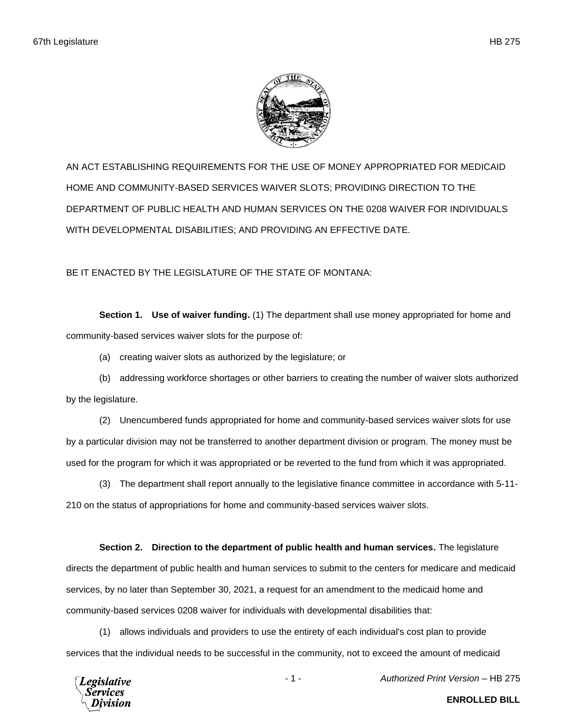

AN ACT ESTABLISHING REQUIREMENTS FOR THE USE OF MONEY APPROPRIATED FOR MEDICAID HOME AND COMMUNITY-BASED SERVICES WAIVER SLOTS; PROVIDING DIRECTION TO THE DEPARTMENT OF PUBLIC HEALTH AND HUMAN SERVICES ON THE 0208 WAIVER FOR INDIVIDUALS WITH DEVELOPMENTAL DISABILITIES; AND PROVIDING AN EFFECTIVE DATE.

BE IT ENACTED BY THE LEGISLATURE OF THE STATE OF MONTANA:

**Section 1. Use of waiver funding.** (1) The department shall use money appropriated for home and community-based services waiver slots for the purpose of:

(a) creating waiver slots as authorized by the legislature; or

(b) addressing workforce shortages or other barriers to creating the number of waiver slots authorized by the legislature.

(2) Unencumbered funds appropriated for home and community-based services waiver slots for use by a particular division may not be transferred to another department division or program. The money must be used for the program for which it was appropriated or be reverted to the fund from which it was appropriated.

(3) The department shall report annually to the legislative finance committee in accordance with 5-11- 210 on the status of appropriations for home and community-based services waiver slots.

## **Section 2. Direction to the department of public health and human services.** The legislature

directs the department of public health and human services to submit to the centers for medicare and medicaid services, by no later than September 30, 2021, a request for an amendment to the medicaid home and community-based services 0208 waiver for individuals with developmental disabilities that:

(1) allows individuals and providers to use the entirety of each individual's cost plan to provide services that the individual needs to be successful in the community, not to exceed the amount of medicaid



**ENROLLED BILL**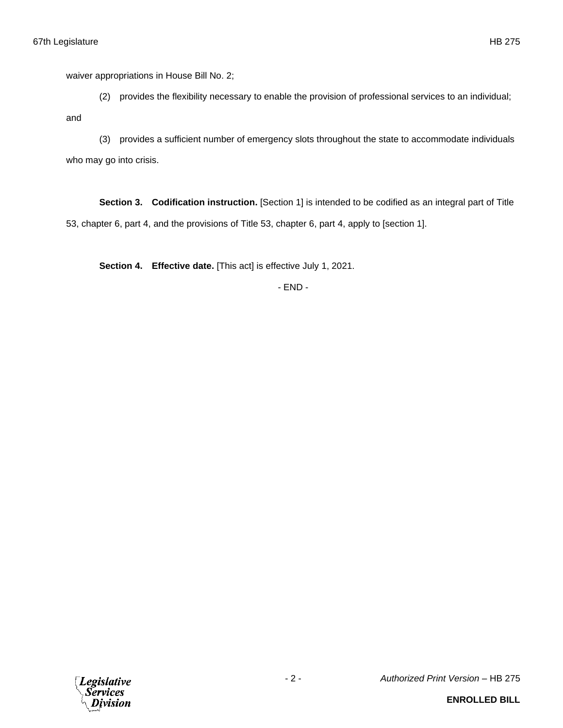waiver appropriations in House Bill No. 2;

(2) provides the flexibility necessary to enable the provision of professional services to an individual;

and

(3) provides a sufficient number of emergency slots throughout the state to accommodate individuals who may go into crisis.

**Section 3. Codification instruction.** [Section 1] is intended to be codified as an integral part of Title 53, chapter 6, part 4, and the provisions of Title 53, chapter 6, part 4, apply to [section 1].

**Section 4. Effective date.** [This act] is effective July 1, 2021.

- END -

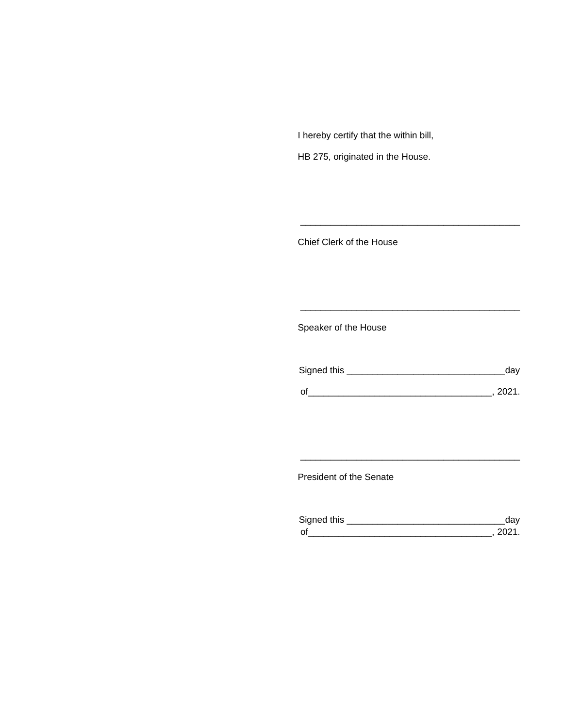I hereby certify that the within bill,

HB 275, originated in the House.

Chief Clerk of the House

Speaker of the House

| Signed this | dav    |
|-------------|--------|
| $\Omega$    | - 2021 |

\_\_\_\_\_\_\_\_\_\_\_\_\_\_\_\_\_\_\_\_\_\_\_\_\_\_\_\_\_\_\_\_\_\_\_\_\_\_\_\_\_\_\_

\_\_\_\_\_\_\_\_\_\_\_\_\_\_\_\_\_\_\_\_\_\_\_\_\_\_\_\_\_\_\_\_\_\_\_\_\_\_\_\_\_\_\_

President of the Senate

| Sianed this |  |
|-------------|--|
| $\Omega$    |  |

\_\_\_\_\_\_\_\_\_\_\_\_\_\_\_\_\_\_\_\_\_\_\_\_\_\_\_\_\_\_\_\_\_\_\_\_\_\_\_\_\_\_\_